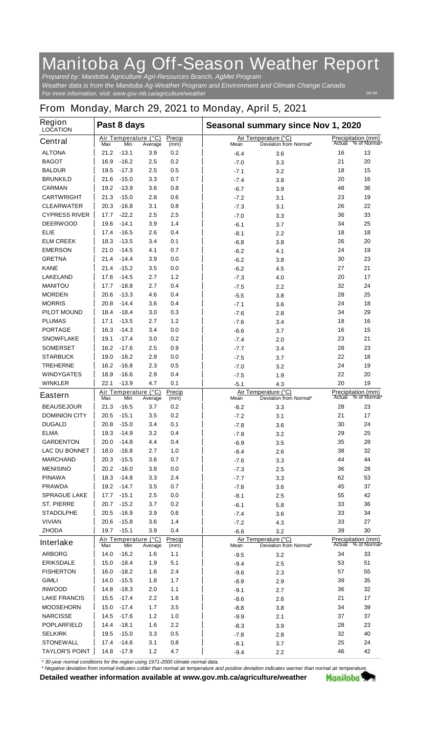## **Manitoba Ag Off-Season Weather Report**

*For more information, visit: www.gov.mb.ca/agriculture/weather Prepared by: Manitoba Agriculture Agri-Resources Branch, AgMet Program Weather data is from the Manitoba Ag-Weather Program and Environment and Climate Change Canada*

*04-06*

## **From Monday, March 29, 2021 to Monday, April 5, 2021**

| <b>Region</b><br><b>LOCATION</b> | Past 8 days  |                |                                 |                |  | Seasonal summary since Nov 1, 2020 |                                                |        |                                           |  |
|----------------------------------|--------------|----------------|---------------------------------|----------------|--|------------------------------------|------------------------------------------------|--------|-------------------------------------------|--|
| <b>Central</b>                   | Max          | Min            | Air Temperature (°C)<br>Average | Precip<br>(mm) |  | Mean                               | Air Temperature (°C)<br>Deviation from Normal* | Actual | <b>Precipitation (mm)</b><br>% of Normal* |  |
| <b>ALTONA</b>                    | 21.2         | $-13.1$        | 3.9                             | 0.2            |  | $-6.4$                             | 3.6                                            | 16     | 13                                        |  |
| <b>BAGOT</b>                     | 16.9         | $-16.2$        | 2.5                             | 0.2            |  | -7.0                               | 3.3                                            | 21     | 20                                        |  |
| <b>BALDUR</b>                    | 19.5         | $-17.3$        | 2.5                             | 0.5            |  | -7.1                               | 3.2                                            | 18     | 15                                        |  |
| <b>BRUNKILD</b>                  | 21.6         | $-15.0$        | 3.3                             | 0.7            |  | $-7.4$                             | 3.8                                            | 20     | 16                                        |  |
| <b>CARMAN</b>                    | 19.2         | $-13.9$        | 3.6                             | 0.8            |  | $-6.7$                             | 3.9                                            | 48     | 36                                        |  |
| <b>CARTWRIGHT</b>                | 21.3         | $-15.0$        | 2.8                             | 0.6            |  | $-7.2$                             | 3.1                                            | 23     | 19                                        |  |
| <b>CLEARWATER</b>                | 20.3         | $-16.8$        | 3.1                             | 0.8            |  | $-7.3$                             | 3.1                                            | 26     | 22                                        |  |
| <b>CYPRESS RIVER</b>             | 17.7         | $-22.2$        | 2.5                             | 2.5            |  | -7.0                               | 3.3                                            | 36     | 33                                        |  |
| <b>DEERWOOD</b>                  | 19.6         | -14.1          | 3.9                             | 1.4            |  | $-6.1$                             | 3.7                                            | 34     | 25                                        |  |
| <b>ELIE</b>                      | 17.4         | $-16.5$        | 2.6                             | 0.4            |  | $-8.1$                             | 2.2                                            | 18     | 18                                        |  |
| <b>ELM CREEK</b>                 | 18.3         | $-13.5$        | 3.4                             | 0.1            |  | $-6.8$                             | 3.8                                            | 26     | 20                                        |  |
| <b>EMERSON</b>                   | 21.0         | $-14.5$        | 4.1                             | 0.7            |  | $-6.2$                             | 4.1                                            | 24     | 19                                        |  |
| <b>GRETNA</b>                    | 21.4         | $-14.4$        | 3.9                             | 0.0            |  | $-6.2$                             | 3.8                                            | 30     | 23                                        |  |
| <b>KANE</b>                      | 21.4         | $-15.2$        | 3.5                             | 0.0            |  | $-6.2$                             | 4.5                                            | 27     | 21                                        |  |
| <b>LAKELAND</b>                  | 17.6         | -14.5          | 2.7                             | 1.2            |  | $-7.3$                             | 4.0                                            | 20     | 17                                        |  |
| <b>MANITOU</b>                   | 17.7         | $-18.8$        | 2.7                             | 0.4            |  | -7.5                               | 2.2                                            | 32     | 24                                        |  |
| <b>MORDEN</b>                    | 20.6         | $-13.3$        | 4.6                             | 0.4            |  | $-5.5$                             | 3.8                                            | 28     | 25                                        |  |
| <b>MORRIS</b>                    | 20.8         | $-14.4$        | 3.6                             | 0.4            |  | $-7.1$                             | 3.6                                            | 24     | 18                                        |  |
| <b>PILOT MOUND</b>               | 18.4         | -18.4          | 3.0                             | 0.3            |  | -7.6                               | 2.8                                            | 34     | 29                                        |  |
| <b>PLUMAS</b>                    | 17.1         | $-13.5$        | 2.7                             | 1.2            |  | $-7.6$                             | 3.4                                            | 18     | 16                                        |  |
| <b>PORTAGE</b>                   | 16.3         | $-14.3$        | 3.4                             | 0.0            |  | $-6.6$                             | 3.7                                            | 16     | 15                                        |  |
| <b>SNOWFLAKE</b>                 | 19.1         | $-17.4$        | 3.0                             | 0.2            |  | $-7.4$                             | 2.0                                            | 23     | 21                                        |  |
| <b>SOMERSET</b>                  | 16.2         | $-17.6$        | 2.5                             | 0.9            |  | -7.7                               | 3.4                                            | 28     | 23                                        |  |
| <b>STARBUCK</b>                  | 19.0         | $-18.2$        | 2.9                             | 0.0            |  | -7.5                               | 3.7                                            | 22     | 18                                        |  |
| <b>TREHERNE</b>                  | 16.2         | $-16.8$        | 2.3                             | 0.5            |  | -7.0                               | 3.2                                            | 24     | 19                                        |  |
| <b>WINDYGATES</b>                | 18.9         | $-16.6$        | 2.9                             | 0.4            |  | $-7.5$                             | 1.9                                            | 22     | 20                                        |  |
| <b>WINKLER</b>                   | 22.1         | $-13.9$        | 4.7                             | 0.1            |  | $-5.1$                             | 4.3                                            | 20     | 19                                        |  |
| <b>Eastern</b>                   |              |                | Air Temperature (°C)            | Precip         |  |                                    | Air Temperature (°C)                           | Actual | <b>Precipitation (mm)</b><br>% of Normal* |  |
| <b>BEAUSEJOUR</b>                | Max<br>21.3  | Min<br>$-16.5$ | Average<br>3.7                  | (mm)<br>0.2    |  | Mean                               | Deviation from Normal*                         | 28     | 23                                        |  |
| <b>DOMINION CITY</b>             | 20.5         | $-15.1$        | 3.5                             | 0.2            |  | $-8.2$                             | 3.3                                            | 21     | 17                                        |  |
| <b>DUGALD</b>                    | 20.8         | $-15.0$        | 3.4                             | 0.1            |  | -7.2                               | 3.1                                            | 30     | 24                                        |  |
| <b>ELMA</b>                      | 19.3         | $-14.9$        | 3.2                             | 0.4            |  | -7.8                               | 3.6                                            | 29     | 25                                        |  |
| <b>GARDENTON</b>                 | 20.0         | $-14.8$        | 4.4                             | 0.4            |  | -7.8                               | 3.2<br>3.5                                     | 35     | 28                                        |  |
| <b>LAC DU BONNET</b>             |              | $-16.8$        | 2.7                             | 1.0            |  | $-6.9$                             |                                                | 38     | 32                                        |  |
| <b>MARCHAND</b>                  | 18.0<br>20.3 | $-15.5$        | 3.6                             | 0.7            |  | -8.4                               | 2.6                                            | 44     | 44                                        |  |
| <b>MENISINO</b>                  | 20.2         | $-16.0$        | 3.8                             | 0.0            |  | $-7.6$                             | 3.3                                            | 36     | 28                                        |  |
| <b>PINAWA</b>                    | 18.3         | $-14.8$        | 3.3                             | 2.4            |  | -7.3                               | 2.5                                            | 62     | 53                                        |  |
| <b>PRAWDA</b>                    | 19.2         | $-14.7$        | 3.5                             | 0.7            |  | -7.7                               | 3.3                                            | 45     | 37                                        |  |
| <b>SPRAGUE LAKE</b>              | 17.7         | $-15.1$        | 2.5                             | 0.0            |  | -7.8<br>$-8.1$                     | 3.6<br>2.5                                     | 55     | 42                                        |  |
| <b>ST. PIERRE</b>                | 20.7         | $-15.2$        | 3.7                             | 0.2            |  |                                    |                                                | 33     | 36                                        |  |
| <b>STADOLPHE</b>                 | 20.5         | $-16.9$        | 3.9                             | 0.6            |  | $-6.1$<br>$-7.4$                   | 5.8<br>3.6                                     | 33     | 34                                        |  |
| <b>VIVIAN</b>                    | 20.6         | $-15.8$        | 3.6                             | 1.4            |  | $-7.2$                             | 4.3                                            | 33     | 27                                        |  |
| <b>ZHODA</b>                     | 19.7         | $-15.1$        | 3.9                             | 0.4            |  | $-6.6$                             | 3.2                                            | 39     | 30                                        |  |
|                                  |              |                | Air Temperature (°C)            | Precip         |  |                                    | Air Temperature (°C)                           |        | <b>Precipitation (mm)</b>                 |  |
| <b>Interlake</b>                 | Max          | Min            | Average                         | (mm)           |  | Mean                               | Deviation from Normal*                         |        | Actual % of Normal*                       |  |
| <b>ARBORG</b>                    | 14.0         | $-16.2$        | 1.6                             | 1.1            |  | $-9.5$                             | 3.2                                            | 34     | 33                                        |  |
| <b>ERIKSDALE</b>                 | 15.0         | $-18.4$        | 1.9                             | 5.1            |  | $-9.4$                             | 2.5                                            | 53     | 51                                        |  |
| <b>FISHERTON</b>                 | 16.0         | $-18.2$        | 1.6                             | 2.4            |  | $-9.6$                             | 2.3                                            | 57     | 55                                        |  |
| <b>GIMLI</b>                     | 14.0         | $-15.5$        | 1.8                             | 1.7            |  | $-8.9$                             | 2.9                                            | 39     | 35                                        |  |
| <b>INWOOD</b>                    | 14.8         | $-18.3$        | 2.0                             | 1.1            |  | $-9.1$                             | 2.7                                            | 36     | 32                                        |  |
| <b>LAKE FRANCIS</b>              | 15.5         | $-17.4$        | 2.2                             | 1.6            |  | $-8.6$                             | 2.6                                            | 21     | 17                                        |  |
| <b>MOOSEHORN</b>                 | 15.0         | $-17.4$        | 1.7                             | 3.5            |  | $-8.8$                             | 3.8                                            | 34     | 39                                        |  |
| <b>NARCISSE</b>                  | 14.5         | $-17.6$        | 1.2                             | 1.0            |  | $-9.9$                             | 2.1                                            | 37     | 37                                        |  |
| <b>POPLARFIELD</b>               | 14.4         | $-18.1$        | 1.6                             | 2.2            |  | $-8.3$                             | 3.9                                            | 28     | 23                                        |  |
| <b>SELKIRK</b>                   | 19.5         | $-15.0$        | 3.3                             | 0.5            |  | $-7.8$                             | 2.8                                            | 32     | 40                                        |  |
| <b>STONEWALL</b>                 | 17.4         | $-14.6$        | 3.1                             | 0.8            |  | $-8.1$                             | 3.7                                            | 25     | 24                                        |  |
| <b>TAYLOR'S POINT</b>            | 14.8         | $-17.9$        | 1.2                             | 4.7            |  | $-9.4$                             | 2.2                                            | 46     | 42                                        |  |

*\* 30-year normal conditions for the region using 1971-2000 climate normal data.*

*\* Negative deviation from normal indicates colder than normal air temperature and positive deviation indicates warmer than normal air temperature.***Detailed weather information available at www.gov.mb.ca/agriculture/weather** Manitoba 77